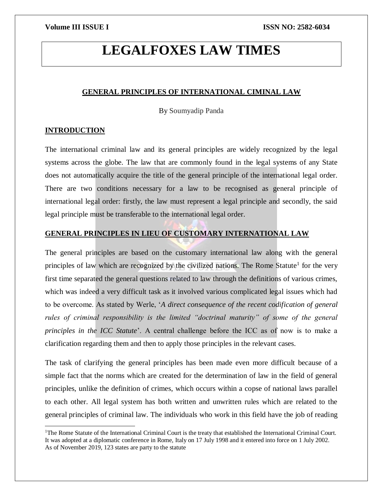# **LEGALFOXES LAW TIMES**

### **GENERAL PRINCIPLES OF INTERNATIONAL CIMINAL LAW**

By Soumyadip Panda

# **INTRODUCTION**

 $\overline{a}$ 

The international criminal law and its general principles are widely recognized by the legal systems across the globe. The law that are commonly found in the legal systems of any State does not automatically acquire the title of the general principle of the international legal order. There are two conditions necessary for a law to be recognised as general principle of international legal order: firstly, the law must represent a legal principle and secondly, the said legal principle must be transferable to the international legal order.

# **GENERAL PRINCIPLES IN LIEU OF CUSTOMARY INTERNATIONAL LAW**

The general principles are based on the customary international law along with the general principles of law which are recognized by the civilized nations. The Rome Statute<sup>1</sup> for the very first time separated the general questions related to law through the definitions of various crimes, which was indeed a very difficult task as it involved various complicated legal issues which had to be overcome. As stated by Werle, '*A direct consequence of the recent codification of general rules of criminal responsibility is the limited "doctrinal maturity" of some of the general principles in the ICC Statute*'. A central challenge before the ICC as of now is to make a clarification regarding them and then to apply those principles in the relevant cases.

The task of clarifying the general principles has been made even more difficult because of a simple fact that the norms which are created for the determination of law in the field of general principles, unlike the definition of crimes, which occurs within a copse of national laws parallel to each other. All legal system has both written and unwritten rules which are related to the general principles of criminal law. The individuals who work in this field have the job of reading

<sup>&</sup>lt;sup>1</sup>The Rome Statute of the International Criminal Court is the treaty that established the International Criminal Court. It was adopted at a diplomatic conference in Rome, Italy on 17 July 1998 and it entered into force on 1 July 2002. As of November 2019, 123 states are party to the statute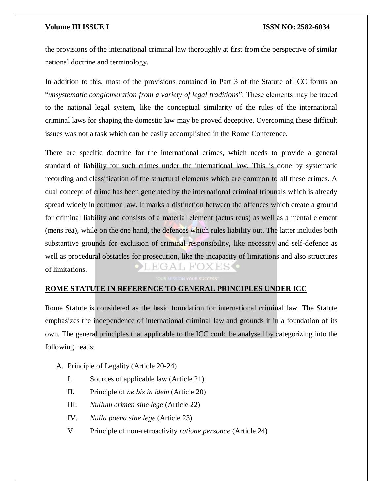the provisions of the international criminal law thoroughly at first from the perspective of similar national doctrine and terminology.

In addition to this, most of the provisions contained in Part 3 of the Statute of ICC forms an "*unsystematic conglomeration from a variety of legal traditions*". These elements may be traced to the national legal system, like the conceptual similarity of the rules of the international criminal laws for shaping the domestic law may be proved deceptive. Overcoming these difficult issues was not a task which can be easily accomplished in the Rome Conference.

There are specific doctrine for the international crimes, which needs to provide a general standard of liability for such crimes under the international law. This is done by systematic recording and classification of the structural elements which are common to all these crimes. A dual concept of crime has been generated by the international criminal tribunals which is already spread widely in common law. It marks a distinction between the offences which create a ground for criminal liability and consists of a material element (actus reus) as well as a mental element (mens rea), while on the one hand, the defences which rules liability out. The latter includes both substantive grounds for exclusion of criminal responsibility, like necessity and self-defence as well as procedural obstacles for prosecution, like the incapacity of limitations and also structures EGA LEO. of limitations.

# **ROME STATUTE IN REFERENCE TO GENERAL PRINCIPLES UNDER ICC**

Rome Statute is considered as the basic foundation for international criminal law. The Statute emphasizes the independence of international criminal law and grounds it in a foundation of its own. The general principles that applicable to the ICC could be analysed by categorizing into the following heads:

- A. Principle of Legality (Article 20-24)
	- I. Sources of applicable law (Article 21)
	- II. Principle of *ne bis in idem* (Article 20)
	- III. *Nullum crimen sine lege* (Article 22)
	- IV. *Nulla poena sine lege* (Article 23)
	- V. Principle of non-retroactivity *ratione personae* (Article 24)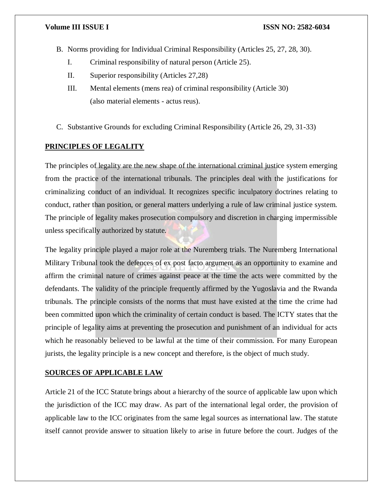- B. Norms providing for Individual Criminal Responsibility (Articles 25, 27, 28, 30).
	- I. Criminal responsibility of natural person (Article 25).
	- II. Superior responsibility (Articles 27,28)
	- III. Mental elements (mens rea) of criminal responsibility (Article 30) (also material elements - actus reus).
- C. Substantive Grounds for excluding Criminal Responsibility (Article 26, 29, 31-33)

# **PRINCIPLES OF LEGALITY**

The principles of legality are the new shape of the international criminal justice system emerging from the practice of the international tribunals. The principles deal with the justifications for criminalizing conduct of an individual. It recognizes specific inculpatory doctrines relating to conduct, rather than position, or general matters underlying a rule of law criminal justice system. The principle of legality makes prosecution compulsory and discretion in charging impermissible unless specifically authorized by statute.

The legality principle played a major role at the Nuremberg trials. The Nuremberg International Military Tribunal took the defences of ex post facto argument as an opportunity to examine and affirm the criminal nature of crimes against peace at the time the acts were committed by the defendants. The validity of the principle frequently affirmed by the Yugoslavia and the Rwanda tribunals. The principle consists of the norms that must have existed at the time the crime had been committed upon which the criminality of certain conduct is based. The ICTY states that the principle of legality aims at preventing the prosecution and punishment of an individual for acts which he reasonably believed to be lawful at the time of their commission. For many European jurists, the legality principle is a new concept and therefore, is the object of much study.

# **SOURCES OF APPLICABLE LAW**

Article 21 of the ICC Statute brings about a hierarchy of the source of applicable law upon which the jurisdiction of the ICC may draw. As part of the international legal order, the provision of applicable law to the ICC originates from the same legal sources as international law. The statute itself cannot provide answer to situation likely to arise in future before the court. Judges of the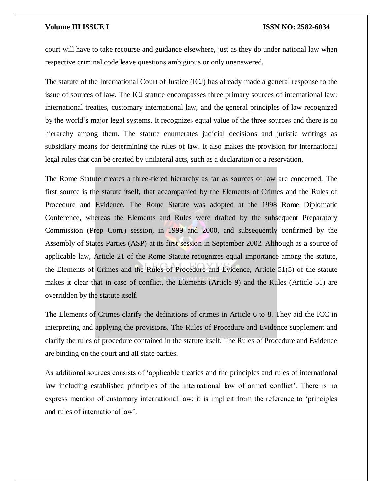court will have to take recourse and guidance elsewhere, just as they do under national law when respective criminal code leave questions ambiguous or only unanswered.

The statute of the International Court of Justice (ICJ) has already made a general response to the issue of sources of law. The ICJ statute encompasses three primary sources of international law: international treaties, customary international law, and the general principles of law recognized by the world's major legal systems. It recognizes equal value of the three sources and there is no hierarchy among them. The statute enumerates judicial decisions and juristic writings as subsidiary means for determining the rules of law. It also makes the provision for international legal rules that can be created by unilateral acts, such as a declaration or a reservation.

The Rome Statute creates a three-tiered hierarchy as far as sources of law are concerned. The first source is the statute itself, that accompanied by the Elements of Crimes and the Rules of Procedure and Evidence. The Rome Statute was adopted at the 1998 Rome Diplomatic Conference, whereas the Elements and Rules were drafted by the subsequent Preparatory Commission (Prep Com.) session, in 1999 and 2000, and subsequently confirmed by the Assembly of States Parties (ASP) at its first session in September 2002. Although as a source of applicable law, Article 21 of the Rome Statute recognizes equal importance among the statute, the Elements of Crimes and the Rules of Procedure and Evidence, Article 51(5) of the statute makes it clear that in case of conflict, the Elements (Article 9) and the Rules (Article 51) are overridden by the statute itself.

The Elements of Crimes clarify the definitions of crimes in Article 6 to 8. They aid the ICC in interpreting and applying the provisions. The Rules of Procedure and Evidence supplement and clarify the rules of procedure contained in the statute itself. The Rules of Procedure and Evidence are binding on the court and all state parties.

As additional sources consists of 'applicable treaties and the principles and rules of international law including established principles of the international law of armed conflict'. There is no express mention of customary international law; it is implicit from the reference to 'principles and rules of international law'.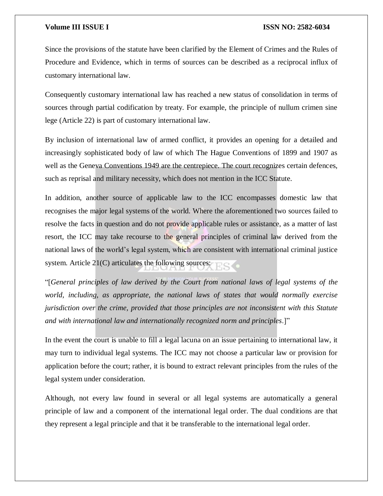Since the provisions of the statute have been clarified by the Element of Crimes and the Rules of Procedure and Evidence, which in terms of sources can be described as a reciprocal influx of customary international law.

Consequently customary international law has reached a new status of consolidation in terms of sources through partial codification by treaty. For example, the principle of nullum crimen sine lege (Article 22) is part of customary international law.

By inclusion of international law of armed conflict, it provides an opening for a detailed and increasingly sophisticated body of law of which The Hague Conventions of 1899 and 1907 as well as the Geneva Conventions 1949 are the centrepiece. The court recognizes certain defences, such as reprisal and military necessity, which does not mention in the ICC Statute.

In addition, another source of applicable law to the ICC encompasses domestic law that recognises the major legal systems of the world. Where the aforementioned two sources failed to resolve the facts in question and do not provide applicable rules or assistance, as a matter of last resort, the ICC may take recourse to the general principles of criminal law derived from the national laws of the world's legal system, which are consistent with international criminal justice system. Article 21(C) articulates the following sources:

"[*General principles of law derived by the Court from national laws of legal systems of the world, including, as appropriate, the national laws of states that would normally exercise jurisdiction over the crime, provided that those principles are not inconsistent with this Statute and with international law and internationally recognized norm and principles*.]"

In the event the court is unable to fill a legal lacuna on an issue pertaining to international law, it may turn to individual legal systems. The ICC may not choose a particular law or provision for application before the court; rather, it is bound to extract relevant principles from the rules of the legal system under consideration.

Although, not every law found in several or all legal systems are automatically a general principle of law and a component of the international legal order. The dual conditions are that they represent a legal principle and that it be transferable to the international legal order.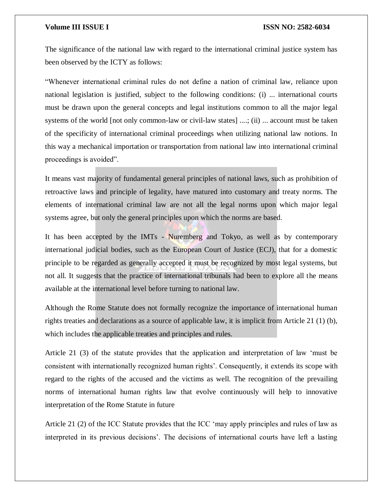The significance of the national law with regard to the international criminal justice system has been observed by the ICTY as follows:

"Whenever international criminal rules do not define a nation of criminal law, reliance upon national legislation is justified, subject to the following conditions: (i) ... international courts must be drawn upon the general concepts and legal institutions common to all the major legal systems of the world [not only common-law or civil-law states] ....; (ii) ... account must be taken of the specificity of international criminal proceedings when utilizing national law notions. In this way a mechanical importation or transportation from national law into international criminal proceedings is avoided".

It means vast majority of fundamental general principles of national laws, such as prohibition of retroactive laws and principle of legality, have matured into customary and treaty norms. The elements of international criminal law are not all the legal norms upon which major legal systems agree, but only the general principles upon which the norms are based.

It has been accepted by the IMTs - Nuremberg and Tokyo, as well as by contemporary international judicial bodies, such as the European Court of Justice (ECJ), that for a domestic principle to be regarded as generally accepted it must be recognized by most legal systems, but not all. It suggests that the practice of international tribunals had been to explore all the means available at the international level before turning to national law.

Although the Rome Statute does not formally recognize the importance of international human rights treaties and declarations as a source of applicable law, it is implicit from Article 21 (1) (b), which includes the applicable treaties and principles and rules.

Article 21 (3) of the statute provides that the application and interpretation of law 'must be consistent with internationally recognized human rights'. Consequently, it extends its scope with regard to the rights of the accused and the victims as well. The recognition of the prevailing norms of international human rights law that evolve continuously will help to innovative interpretation of the Rome Statute in future

Article 21 (2) of the ICC Statute provides that the ICC 'may apply principles and rules of law as interpreted in its previous decisions'. The decisions of international courts have left a lasting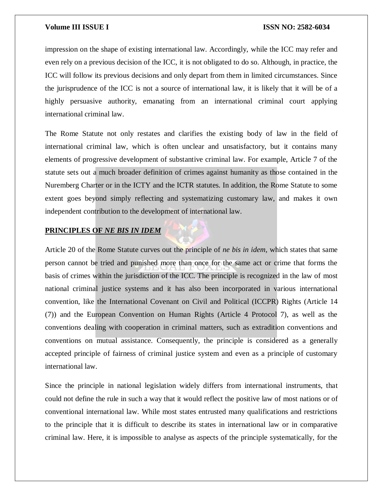impression on the shape of existing international law. Accordingly, while the ICC may refer and even rely on a previous decision of the ICC, it is not obligated to do so. Although, in practice, the ICC will follow its previous decisions and only depart from them in limited circumstances. Since the jurisprudence of the ICC is not a source of international law, it is likely that it will be of a highly persuasive authority, emanating from an international criminal court applying international criminal law.

The Rome Statute not only restates and clarifies the existing body of law in the field of international criminal law, which is often unclear and unsatisfactory, but it contains many elements of progressive development of substantive criminal law. For example, Article 7 of the statute sets out a much broader definition of crimes against humanity as those contained in the Nuremberg Charter or in the ICTY and the ICTR statutes. In addition, the Rome Statute to some extent goes beyond simply reflecting and systematizing customary law, and makes it own independent contribution to the development of international law.

# **PRINCIPLES OF** *NE BIS IN IDEM*

Article 20 of the Rome Statute curves out the principle of *ne bis in idem*, which states that same person cannot be tried and punished more than once for the same act or crime that forms the basis of crimes within the jurisdiction of the ICC. The principle is recognized in the law of most national criminal justice systems and it has also been incorporated in various international convention, like the International Covenant on Civil and Political (ICCPR) Rights (Article 14 (7)) and the European Convention on Human Rights (Article 4 Protocol 7), as well as the conventions dealing with cooperation in criminal matters, such as extradition conventions and conventions on mutual assistance. Consequently, the principle is considered as a generally accepted principle of fairness of criminal justice system and even as a principle of customary international law.

Since the principle in national legislation widely differs from international instruments, that could not define the rule in such a way that it would reflect the positive law of most nations or of conventional international law. While most states entrusted many qualifications and restrictions to the principle that it is difficult to describe its states in international law or in comparative criminal law. Here, it is impossible to analyse as aspects of the principle systematically, for the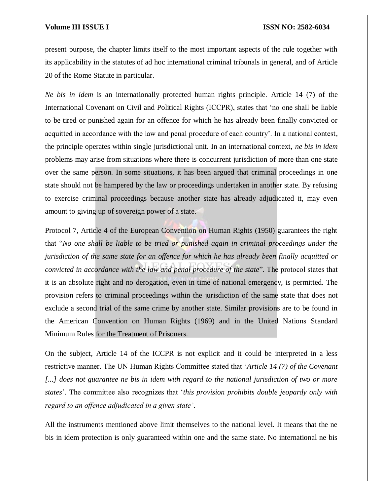present purpose, the chapter limits itself to the most important aspects of the rule together with its applicability in the statutes of ad hoc international criminal tribunals in general, and of Article 20 of the Rome Statute in particular.

*Ne bis in idem* is an internationally protected human rights principle. Article 14 (7) of the International Covenant on Civil and Political Rights (ICCPR), states that 'no one shall be liable to be tired or punished again for an offence for which he has already been finally convicted or acquitted in accordance with the law and penal procedure of each country'. In a national contest, the principle operates within single jurisdictional unit. In an international context, *ne bis in idem* problems may arise from situations where there is concurrent jurisdiction of more than one state over the same person. In some situations, it has been argued that criminal proceedings in one state should not be hampered by the law or proceedings undertaken in another state. By refusing to exercise criminal proceedings because another state has already adjudicated it, may even amount to giving up of sovereign power of a state.

Protocol 7, Article 4 of the European Convention on Human Rights (1950) guarantees the right that "*No one shall be liable to be tried or punished again in criminal proceedings under the jurisdiction of the same state for an offence for which he has already been finally acquitted or convicted in accordance with the law and penal procedure of the state*". The protocol states that it is an absolute right and no derogation, even in time of national emergency, is permitted. The provision refers to criminal proceedings within the jurisdiction of the same state that does not exclude a second trial of the same crime by another state. Similar provisions are to be found in the American Convention on Human Rights (1969) and in the United Nations Standard Minimum Rules for the Treatment of Prisoners.

On the subject, Article 14 of the ICCPR is not explicit and it could be interpreted in a less restrictive manner. The UN Human Rights Committee stated that '*Article 14 (7) of the Covenant*  [...] does not guarantee ne bis in idem with regard to the national jurisdiction of two or more *states*'. The committee also recognizes that '*this provision prohibits double jeopardy only with regard to an offence adjudicated in a given state'*.

All the instruments mentioned above limit themselves to the national level. It means that the ne bis in idem protection is only guaranteed within one and the same state. No international ne bis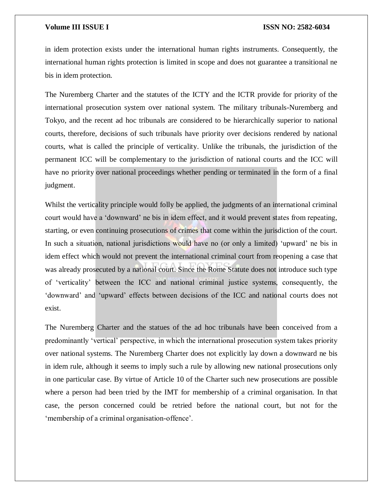in idem protection exists under the international human rights instruments. Consequently, the international human rights protection is limited in scope and does not guarantee a transitional ne bis in idem protection.

The Nuremberg Charter and the statutes of the ICTY and the ICTR provide for priority of the international prosecution system over national system. The military tribunals-Nuremberg and Tokyo, and the recent ad hoc tribunals are considered to be hierarchically superior to national courts, therefore, decisions of such tribunals have priority over decisions rendered by national courts, what is called the principle of verticality. Unlike the tribunals, the jurisdiction of the permanent ICC will be complementary to the jurisdiction of national courts and the ICC will have no priority over national proceedings whether pending or terminated in the form of a final judgment.

Whilst the verticality principle would folly be applied, the judgments of an international criminal court would have a 'downward' ne bis in idem effect, and it would prevent states from repeating, starting, or even continuing prosecutions of crimes that come within the jurisdiction of the court. In such a situation, national jurisdictions would have no (or only a limited) 'upward' ne bis in idem effect which would not prevent the international criminal court from reopening a case that was already prosecuted by a national court. Since the Rome Statute does not introduce such type of 'verticality' between the ICC and national criminal justice systems, consequently, the 'downward' and 'upward' effects between decisions of the ICC and national courts does not exist.

The Nuremberg Charter and the statues of the ad hoc tribunals have been conceived from a predominantly 'vertical' perspective, in which the international prosecution system takes priority over national systems. The Nuremberg Charter does not explicitly lay down a downward ne bis in idem rule, although it seems to imply such a rule by allowing new national prosecutions only in one particular case. By virtue of Article 10 of the Charter such new prosecutions are possible where a person had been tried by the IMT for membership of a criminal organisation. In that case, the person concerned could be retried before the national court, but not for the 'membership of a criminal organisation-offence'.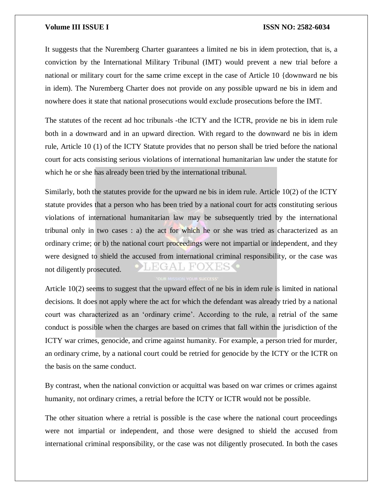It suggests that the Nuremberg Charter guarantees a limited ne bis in idem protection, that is, a conviction by the International Military Tribunal (IMT) would prevent a new trial before a national or military court for the same crime except in the case of Article 10 {downward ne bis in idem). The Nuremberg Charter does not provide on any possible upward ne bis in idem and nowhere does it state that national prosecutions would exclude prosecutions before the IMT.

The statutes of the recent ad hoc tribunals -the ICTY and the ICTR, provide ne bis in idem rule both in a downward and in an upward direction. With regard to the downward ne bis in idem rule, Article 10 (1) of the ICTY Statute provides that no person shall be tried before the national court for acts consisting serious violations of international humanitarian law under the statute for which he or she has already been tried by the international tribunal.

Similarly, both the statutes provide for the upward ne bis in idem rule. Article 10(2) of the ICTY statute provides that a person who has been tried by a national court for acts constituting serious violations of international humanitarian law may be subsequently tried by the international tribunal only in two cases : a) the act for which he or she was tried as characterized as an ordinary crime; or b) the national court proceedings were not impartial or independent, and they were designed to shield the accused from international criminal responsibility, or the case was not diligently prosecuted.

Article 10(2) seems to suggest that the upward effect of ne bis in idem rule is limited in national decisions. It does not apply where the act for which the defendant was already tried by a national court was characterized as an 'ordinary crime'. According to the rule, a retrial of the same conduct is possible when the charges are based on crimes that fall within the jurisdiction of the ICTY war crimes, genocide, and crime against humanity. For example, a person tried for murder, an ordinary crime, by a national court could be retried for genocide by the ICTY or the ICTR on the basis on the same conduct.

By contrast, when the national conviction or acquittal was based on war crimes or crimes against humanity, not ordinary crimes, a retrial before the ICTY or ICTR would not be possible.

The other situation where a retrial is possible is the case where the national court proceedings were not impartial or independent, and those were designed to shield the accused from international criminal responsibility, or the case was not diligently prosecuted. In both the cases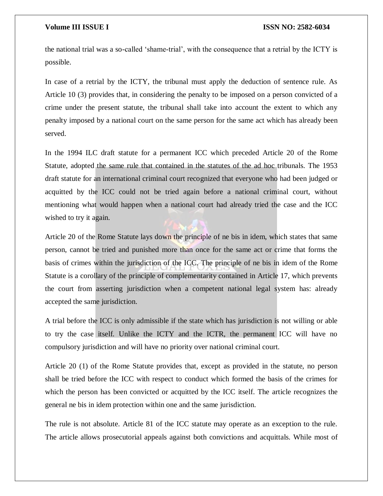the national trial was a so-called 'shame-trial', with the consequence that a retrial by the ICTY is possible.

In case of a retrial by the ICTY, the tribunal must apply the deduction of sentence rule. As Article 10 (3) provides that, in considering the penalty to be imposed on a person convicted of a crime under the present statute, the tribunal shall take into account the extent to which any penalty imposed by a national court on the same person for the same act which has already been served.

In the 1994 ILC draft statute for a permanent ICC which preceded Article 20 of the Rome Statute, adopted the same rule that contained in the statutes of the ad hoc tribunals. The 1953 draft statute for an international criminal court recognized that everyone who had been judged or acquitted by the ICC could not be tried again before a national criminal court, without mentioning what would happen when a national court had already tried the case and the ICC wished to try it again.

Article 20 of the Rome Statute lays down the principle of ne bis in idem, which states that same person, cannot be tried and punished more than once for the same act or crime that forms the basis of crimes within the jurisdiction of the ICC. The principle of ne bis in idem of the Rome Statute is a corollary of the principle of complementarity contained in Article 17, which prevents the court from asserting jurisdiction when a competent national legal system has: already accepted the same jurisdiction.

A trial before the ICC is only admissible if the state which has jurisdiction is not willing or able to try the case itself. Unlike the ICTY and the ICTR, the permanent ICC will have no compulsory jurisdiction and will have no priority over national criminal court.

Article 20 (1) of the Rome Statute provides that, except as provided in the statute, no person shall be tried before the ICC with respect to conduct which formed the basis of the crimes for which the person has been convicted or acquitted by the ICC itself. The article recognizes the general ne bis in idem protection within one and the same jurisdiction.

The rule is not absolute. Article 81 of the ICC statute may operate as an exception to the rule. The article allows prosecutorial appeals against both convictions and acquittals. While most of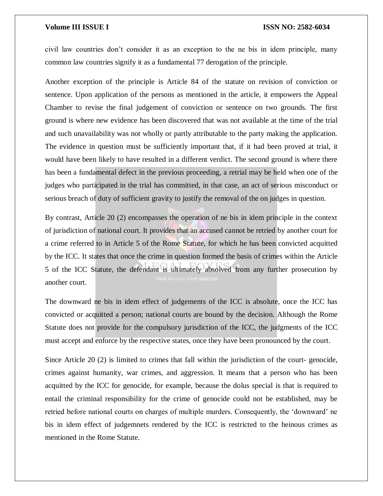civil law countries don't consider it as an exception to the ne bis in idem principle, many common law countries signify it as a fundamental 77 derogation of the principle.

Another exception of the principle is Article 84 of the statute on revision of conviction or sentence. Upon application of the persons as mentioned in the article, it empowers the Appeal Chamber to revise the final judgement of conviction or sentence on two grounds. The first ground is where new evidence has been discovered that was not available at the time of the trial and such unavailability was not wholly or partly attributable to the party making the application. The evidence in question must be sufficiently important that, if it had been proved at trial, it would have been likely to have resulted in a different verdict. The second ground is where there has been a fundamental defect in the previous proceeding, a retrial may be held when one of the judges who participated in the trial has committed, in that case, an act of serious misconduct or serious breach of duty of sufficient gravity to justify the removal of the on judges in question.

By contrast, Article 20 (2) encompasses the operation of ne bis in idem principle in the context of jurisdiction of national court. It provides that an accused cannot be retried by another court for a crime referred to in Article 5 of the Rome Statute, for which he has been convicted acquitted by the ICC. It states that once the crime in question formed the basis of crimes within the Article 5 of the ICC Statute, the defendant is ultimately absolved from any further prosecution by another court.

The downward ne bis in idem effect of judgements of the ICC is absolute, once the ICC has convicted or acquitted a person; national courts are bound by the decision. Although the Rome Statute does not provide for the compulsory jurisdiction of the ICC, the judgments of the ICC must accept and enforce by the respective states, once they have been pronounced by the court.

Since Article 20 (2) is limited to crimes that fall within the jurisdiction of the court- genocide, crimes against humanity, war crimes, and aggression. It means that a person who has been acquitted by the ICC for genocide, for example, because the dolus special is that is required to entail the criminal responsibility for the crime of genocide could not be established, may be retried before national courts on charges of multiple murders. Consequently, the 'downward' ne bis in idem effect of judgemnets rendered by the ICC is restricted to the heinous crimes as mentioned in the Rome Statute.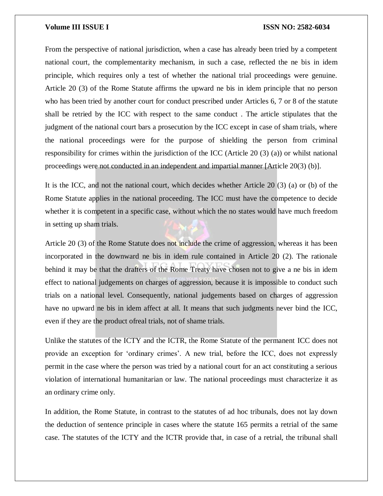From the perspective of national jurisdiction, when a case has already been tried by a competent national court, the complementarity mechanism, in such a case, reflected the ne bis in idem principle, which requires only a test of whether the national trial proceedings were genuine. Article 20 (3) of the Rome Statute affirms the upward ne bis in idem principle that no person who has been tried by another court for conduct prescribed under Articles 6, 7 or 8 of the statute shall be retried by the ICC with respect to the same conduct . The article stipulates that the judgment of the national court bars a prosecution by the ICC except in case of sham trials, where the national proceedings were for the purpose of shielding the person from criminal responsibility for crimes within the jurisdiction of the ICC (Article 20 (3) (a)) or whilst national proceedings were not conducted in an independent and impartial manner [Article 20(3) (b)].

It is the ICC, and not the national court, which decides whether Article 20 (3) (a) or (b) of the Rome Statute applies in the national proceeding. The ICC must have the competence to decide whether it is competent in a specific case, without which the no states would have much freedom in setting up sham trials.

Article 20 (3) of the Rome Statute does not include the crime of aggression, whereas it has been incorporated in the downward ne bis in idem rule contained in Article 20 (2). The rationale behind it may be that the drafters of the Rome Treaty have chosen not to give a ne bis in idem effect to national judgements on charges of aggression, because it is impossible to conduct such trials on a national level. Consequently, national judgements based on charges of aggression have no upward ne bis in idem affect at all. It means that such judgments never bind the ICC, even if they are the product ofreal trials, not of shame trials.

Unlike the statutes of the ICTY and the ICTR, the Rome Statute of the permanent ICC does not provide an exception for 'ordinary crimes'. A new trial, before the ICC, does not expressly permit in the case where the person was tried by a national court for an act constituting a serious violation of international humanitarian or law. The national proceedings must characterize it as an ordinary crime only.

In addition, the Rome Statute, in contrast to the statutes of ad hoc tribunals, does not lay down the deduction of sentence principle in cases where the statute 165 permits a retrial of the same case. The statutes of the ICTY and the ICTR provide that, in case of a retrial, the tribunal shall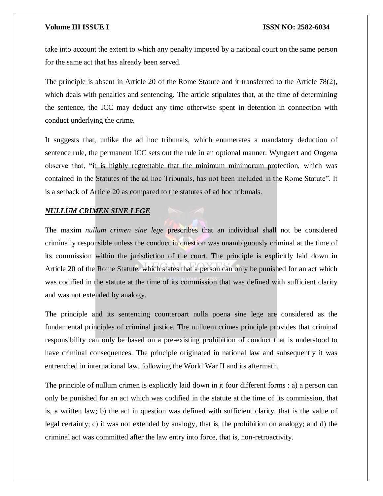take into account the extent to which any penalty imposed by a national court on the same person for the same act that has already been served.

The principle is absent in Article 20 of the Rome Statute and it transferred to the Article 78(2), which deals with penalties and sentencing. The article stipulates that, at the time of determining the sentence, the ICC may deduct any time otherwise spent in detention in connection with conduct underlying the crime.

It suggests that, unlike the ad hoc tribunals, which enumerates a mandatory deduction of sentence rule, the permanent ICC sets out the rule in an optional manner. Wyngaert and Ongena observe that, "it is highly regrettable that the minimum minimorum protection, which was contained in the Statutes of the ad hoc Tribunals, has not been included in the Rome Statute". It is a setback of Article 20 as compared to the statutes of ad hoc tribunals.

### *NULLUM CRIMEN SINE LEGE*

The maxim *nullum crimen sine lege* prescribes that an individual shall not be considered criminally responsible unless the conduct in question was unambiguously criminal at the time of its commission within the jurisdiction of the court. The principle is explicitly laid down in Article 20 of the Rome Statute, which states that a person can only be punished for an act which was codified in the statute at the time of its commission that was defined with sufficient clarity and was not extended by analogy.

The principle and its sentencing counterpart nulla poena sine lege are considered as the fundamental principles of criminal justice. The nulluem crimes principle provides that criminal responsibility can only be based on a pre-existing prohibition of conduct that is understood to have criminal consequences. The principle originated in national law and subsequently it was entrenched in international law, following the World War II and its aftermath.

The principle of nullum crimen is explicitly laid down in it four different forms : a) a person can only be punished for an act which was codified in the statute at the time of its commission, that is, a written law; b) the act in question was defined with sufficient clarity, that is the value of legal certainty; c) it was not extended by analogy, that is, the prohibition on analogy; and d) the criminal act was committed after the law entry into force, that is, non-retroactivity.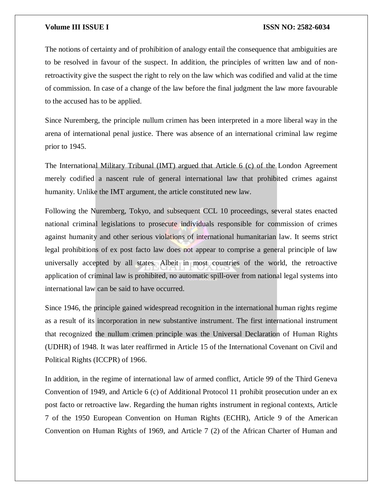The notions of certainty and of prohibition of analogy entail the consequence that ambiguities are to be resolved in favour of the suspect. In addition, the principles of written law and of nonretroactivity give the suspect the right to rely on the law which was codified and valid at the time of commission. In case of a change of the law before the final judgment the law more favourable to the accused has to be applied.

Since Nuremberg, the principle nullum crimen has been interpreted in a more liberal way in the arena of international penal justice. There was absence of an international criminal law regime prior to 1945.

The International Military Tribunal (IMT) argued that Article 6 (c) of the London Agreement merely codified a nascent rule of general international law that prohibited crimes against humanity. Unlike the IMT argument, the article constituted new law.

Following the Nuremberg, Tokyo, and subsequent CCL 10 proceedings, several states enacted national criminal legislations to prosecute individuals responsible for commission of crimes against humanity and other serious violations of international humanitarian law. It seems strict legal prohibitions of ex post facto law does not appear to comprise a general principle of law universally accepted by all states. Albeit in most countries of the world, the retroactive application of criminal law is prohibited, no automatic spill-over from national legal systems into international law can be said to have occurred.

Since 1946, the principle gained widespread recognition in the international human rights regime as a result of its incorporation in new substantive instrument. The first international instrument that recognized the nullum crimen principle was the Universal Declaration of Human Rights (UDHR) of 1948. It was later reaffirmed in Article 15 of the International Covenant on Civil and Political Rights (ICCPR) of 1966.

In addition, in the regime of international law of armed conflict, Article 99 of the Third Geneva Convention of 1949, and Article 6 (c) of Additional Protocol 11 prohibit prosecution under an ex post facto or retroactive law. Regarding the human rights instrument in regional contexts, Article 7 of the 1950 European Convention on Human Rights (ECHR), Article 9 of the American Convention on Human Rights of 1969, and Article 7 (2) of the African Charter of Human and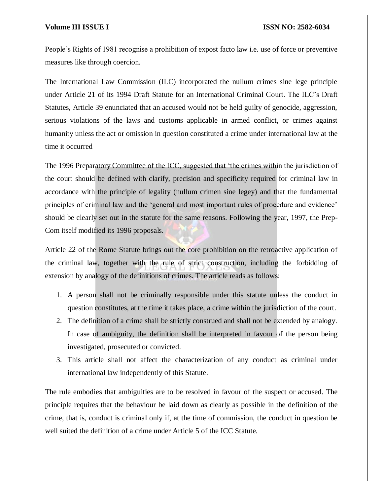People's Rights of 1981 recognise a prohibition of expost facto law i.e. use of force or preventive measures like through coercion.

The International Law Commission (ILC) incorporated the nullum crimes sine lege principle under Article 21 of its 1994 Draft Statute for an International Criminal Court. The ILC's Draft Statutes, Article 39 enunciated that an accused would not be held guilty of genocide, aggression, serious violations of the laws and customs applicable in armed conflict, or crimes against humanity unless the act or omission in question constituted a crime under international law at the time it occurred

The 1996 Preparatory Committee of the ICC, suggested that 'the crimes within the jurisdiction of the court should be defined with clarify, precision and specificity required for criminal law in accordance with the principle of legality (nullum crimen sine legey) and that the fundamental principles of criminal law and the 'general and most important rules of procedure and evidence' should be clearly set out in the statute for the same reasons. Following the year, 1997, the Prep-Com itself modified its 1996 proposals.

Article 22 of the Rome Statute brings out the core prohibition on the retroactive application of the criminal law, together with the rule of strict construction, including the forbidding of extension by analogy of the definitions of crimes. The article reads as follows:

- 1. A person shall not be criminally responsible under this statute unless the conduct in question constitutes, at the time it takes place, a crime within the jurisdiction of the court.
- 2. The definition of a crime shall be strictly construed and shall not be extended by analogy. In case of ambiguity, the definition shall be interpreted in favour of the person being investigated, prosecuted or convicted.
- 3. This article shall not affect the characterization of any conduct as criminal under international law independently of this Statute.

The rule embodies that ambiguities are to be resolved in favour of the suspect or accused. The principle requires that the behaviour be laid down as clearly as possible in the definition of the crime, that is, conduct is criminal only if, at the time of commission, the conduct in question be well suited the definition of a crime under Article 5 of the ICC Statute.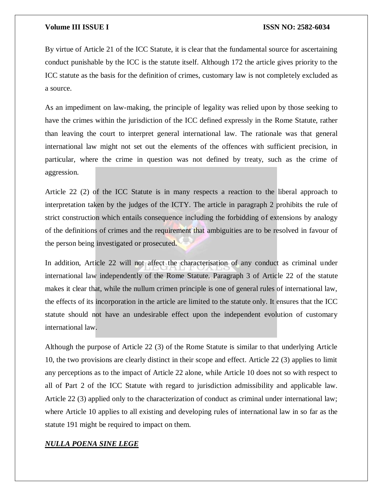By virtue of Article 21 of the ICC Statute, it is clear that the fundamental source for ascertaining conduct punishable by the ICC is the statute itself. Although 172 the article gives priority to the ICC statute as the basis for the definition of crimes, customary law is not completely excluded as a source.

As an impediment on law-making, the principle of legality was relied upon by those seeking to have the crimes within the jurisdiction of the ICC defined expressly in the Rome Statute, rather than leaving the court to interpret general international law. The rationale was that general international law might not set out the elements of the offences with sufficient precision, in particular, where the crime in question was not defined by treaty, such as the crime of aggression.

Article 22 (2) of the ICC Statute is in many respects a reaction to the liberal approach to interpretation taken by the judges of the ICTY. The article in paragraph 2 prohibits the rule of strict construction which entails consequence including the forbidding of extensions by analogy of the definitions of crimes and the requirement that ambiguities are to be resolved in favour of the person being investigated or prosecuted.

In addition, Article 22 will not affect the characterisation of any conduct as criminal under international law independently of the Rome Statute. Paragraph 3 of Article 22 of the statute makes it clear that, while the nullum crimen principle is one of general rules of international law, the effects of its incorporation in the article are limited to the statute only. It ensures that the ICC statute should not have an undesirable effect upon the independent evolution of customary international law.

Although the purpose of Article 22 (3) of the Rome Statute is similar to that underlying Article 10, the two provisions are clearly distinct in their scope and effect. Article 22 (3) applies to limit any perceptions as to the impact of Article 22 alone, while Article 10 does not so with respect to all of Part 2 of the ICC Statute with regard to jurisdiction admissibility and applicable law. Article 22 (3) applied only to the characterization of conduct as criminal under international law; where Article 10 applies to all existing and developing rules of international law in so far as the statute 191 might be required to impact on them.

# *NULLA POENA SINE LEGE*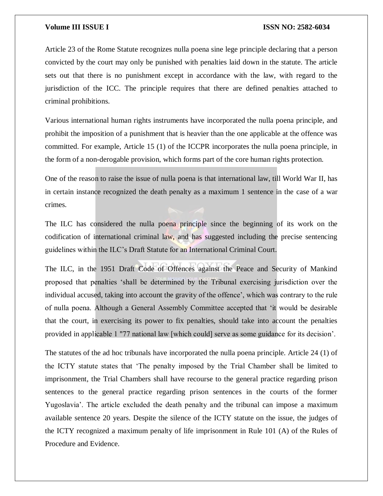Article 23 of the Rome Statute recognizes nulla poena sine lege principle declaring that a person convicted by the court may only be punished with penalties laid down in the statute. The article sets out that there is no punishment except in accordance with the law, with regard to the jurisdiction of the ICC. The principle requires that there are defined penalties attached to criminal prohibitions.

Various international human rights instruments have incorporated the nulla poena principle, and prohibit the imposition of a punishment that is heavier than the one applicable at the offence was committed. For example, Article 15 (1) of the ICCPR incorporates the nulla poena principle, in the form of a non-derogable provision, which forms part of the core human rights protection.

One of the reason to raise the issue of nulla poena is that international law, till World War II, has in certain instance recognized the death penalty as a maximum 1 sentence in the case of a war crimes.

The ILC has considered the nulla poena principle since the beginning of its work on the codification of international criminal law, and has suggested including the precise sentencing guidelines within the ILC's Draft Statute for an International Criminal Court.

The ILC, in the 1951 Draft Code of Offences against the Peace and Security of Mankind proposed that penalties 'shall be determined by the Tribunal exercising jurisdiction over the individual accused, taking into account the gravity of the offence', which was contrary to the rule of nulla poena. Although a General Assembly Committee accepted that 'it would be desirable that the court, in exercising its power to fix penalties, should take into account the penalties provided in applicable 1 "77 national law [which could] serve as some guidance for its decision'.

The statutes of the ad hoc tribunals have incorporated the nulla poena principle. Article 24 (1) of the ICTY statute states that 'The penalty imposed by the Trial Chamber shall be limited to imprisonment, the Trial Chambers shall have recourse to the general practice regarding prison sentences to the general practice regarding prison sentences in the courts of the former Yugoslavia'. The article excluded the death penalty and the tribunal can impose a maximum available sentence 20 years. Despite the silence of the ICTY statute on the issue, the judges of the ICTY recognized a maximum penalty of life imprisonment in Rule 101 (A) of the Rules of Procedure and Evidence.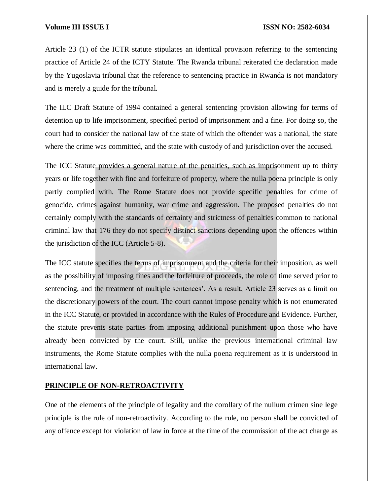Article 23 (1) of the ICTR statute stipulates an identical provision referring to the sentencing practice of Article 24 of the ICTY Statute. The Rwanda tribunal reiterated the declaration made by the Yugoslavia tribunal that the reference to sentencing practice in Rwanda is not mandatory and is merely a guide for the tribunal.

The ILC Draft Statute of 1994 contained a general sentencing provision allowing for terms of detention up to life imprisonment, specified period of imprisonment and a fine. For doing so, the court had to consider the national law of the state of which the offender was a national, the state where the crime was committed, and the state with custody of and jurisdiction over the accused.

The ICC Statute provides a general nature of the penalties, such as imprisonment up to thirty years or life together with fine and forfeiture of property, where the nulla poena principle is only partly complied with. The Rome Statute does not provide specific penalties for crime of genocide, crimes against humanity, war crime and aggression. The proposed penalties do not certainly comply with the standards of certainty and strictness of penalties common to national criminal law that 176 they do not specify distinct sanctions depending upon the offences within the jurisdiction of the ICC (Article 5-8).

The ICC statute specifies the terms of imprisonment and the criteria for their imposition, as well as the possibility of imposing fines and the forfeiture of proceeds, the role of time served prior to sentencing, and the treatment of multiple sentences'. As a result, Article 23 serves as a limit on the discretionary powers of the court. The court cannot impose penalty which is not enumerated in the ICC Statute, or provided in accordance with the Rules of Procedure and Evidence. Further, the statute prevents state parties from imposing additional punishment upon those who have already been convicted by the court. Still, unlike the previous international criminal law instruments, the Rome Statute complies with the nulla poena requirement as it is understood in international law.

# **PRINCIPLE OF NON-RETROACTIVITY**

One of the elements of the principle of legality and the corollary of the nullum crimen sine lege principle is the rule of non-retroactivity. According to the rule, no person shall be convicted of any offence except for violation of law in force at the time of the commission of the act charge as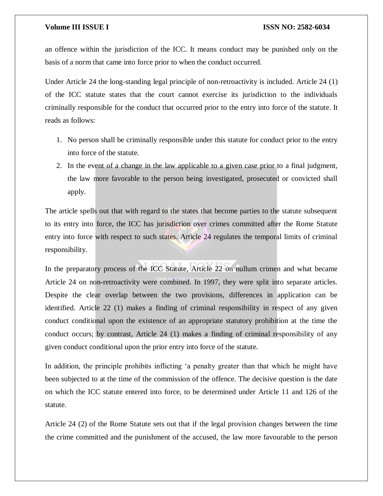an offence within the jurisdiction of the ICC. It means conduct may be punished only on the basis of a norm that came into force prior to when the conduct occurred.

Under Article 24 the long-standing legal principle of non-retroactivity is included. Article 24 (1) of the ICC statute states that the court cannot exercise its jurisdiction to the individuals criminally responsible for the conduct that occurred prior to the entry into force of the statute. It reads as follows:

- 1. No person shall be criminally responsible under this statute for conduct prior to the entry into force of the statute.
- 2. In the event of a change in the law applicable to a given case prior to a final judgment, the law more favorable to the person being investigated, prosecuted or convicted shall apply.

The article spells out that with regard to the states that become parties to the statute subsequent to its entry into force, the ICC has jurisdiction over crimes committed after the Rome Statute entry into force with respect to such states. Article 24 regulates the temporal limits of criminal responsibility.

In the preparatory process of the ICC Statute, Article 22 on nullum crimen and what became Article 24 on non-retroactivity were combined. In 1997, they were split into separate articles. Despite the clear overlap between the two provisions, differences in application can be identified. Article 22 (1) makes a finding of criminal responsibility in respect of any given conduct conditional upon the existence of an appropriate statutory prohibition at the time the conduct occurs; by contrast, Article 24 (1) makes a finding of criminal responsibility of any given conduct conditional upon the prior entry into force of the statute.

In addition, the principle prohibits inflicting 'a penalty greater than that which he might have been subjected to at the time of the commission of the offence. The decisive question is the date on which the ICC statute entered into force, to be determined under Article 11 and 126 of the statute.

Article 24 (2) of the Rome Statute sets out that if the legal provision changes between the time the crime committed and the punishment of the accused, the law more favourable to the person